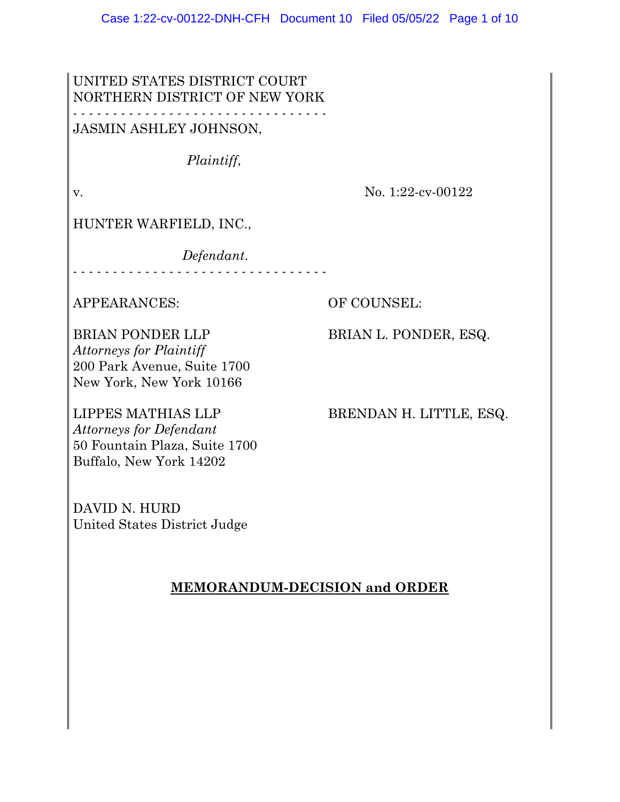UNITED STATES DISTRICT COURT NORTHERN DISTRICT OF NEW YORK - - - - - - - - - - - - - - - - - - - - - - - - - - - - - - - -

JASMIN ASHLEY JOHNSON,

*Plaintiff*,

v. No. 1:22-cv-00122

HUNTER WARFIELD, INC.,

*Defendant*.

- - - - - - - - - - - - - - - - - - - - - - - - - - - - - - - -

APPEARANCES: OF COUNSEL:

BRIAN PONDER LLP BRIAN L. PONDER, ESQ. *Attorneys for Plaintiff* 200 Park Avenue, Suite 1700 New York, New York 10166

*Attorneys for Defendant* 50 Fountain Plaza, Suite 1700 Buffalo, New York 14202

LIPPES MATHIAS LLP BRENDAN H. LITTLE, ESQ.

DAVID N. HURD United States District Judge

#### **MEMORANDUM-DECISION and ORDER**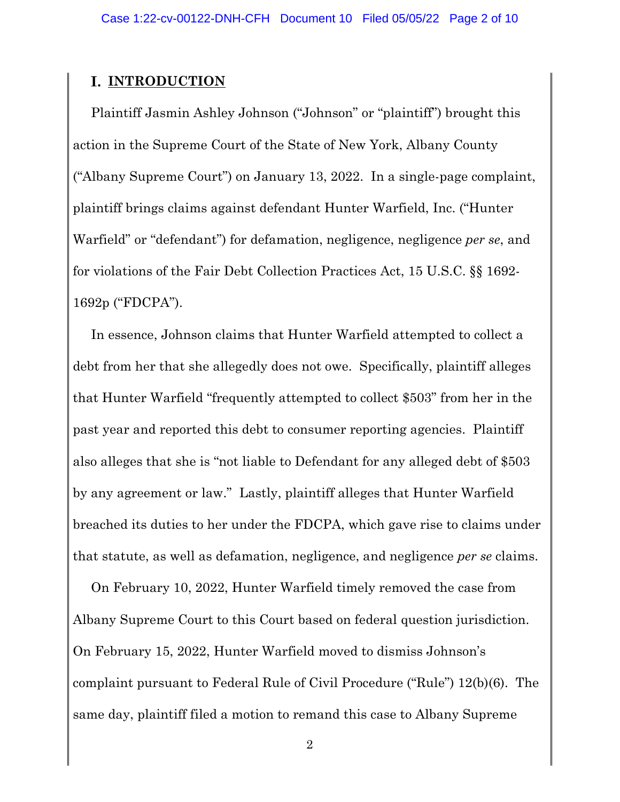# **I. INTRODUCTION**

Plaintiff Jasmin Ashley Johnson ("Johnson" or "plaintiff") brought this action in the Supreme Court of the State of New York, Albany County ("Albany Supreme Court") on January 13, 2022. In a single-page complaint, plaintiff brings claims against defendant Hunter Warfield, Inc. ("Hunter Warfield" or "defendant") for defamation, negligence, negligence *per se*, and for violations of the Fair Debt Collection Practices Act, 15 U.S.C. §§ 1692- 1692p ("FDCPA").

In essence, Johnson claims that Hunter Warfield attempted to collect a debt from her that she allegedly does not owe. Specifically, plaintiff alleges that Hunter Warfield "frequently attempted to collect \$503" from her in the past year and reported this debt to consumer reporting agencies. Plaintiff also alleges that she is "not liable to Defendant for any alleged debt of \$503 by any agreement or law." Lastly, plaintiff alleges that Hunter Warfield breached its duties to her under the FDCPA, which gave rise to claims under that statute, as well as defamation, negligence, and negligence *per se* claims.

On February 10, 2022, Hunter Warfield timely removed the case from Albany Supreme Court to this Court based on federal question jurisdiction. On February 15, 2022, Hunter Warfield moved to dismiss Johnson's complaint pursuant to Federal Rule of Civil Procedure ("Rule") 12(b)(6). The same day, plaintiff filed a motion to remand this case to Albany Supreme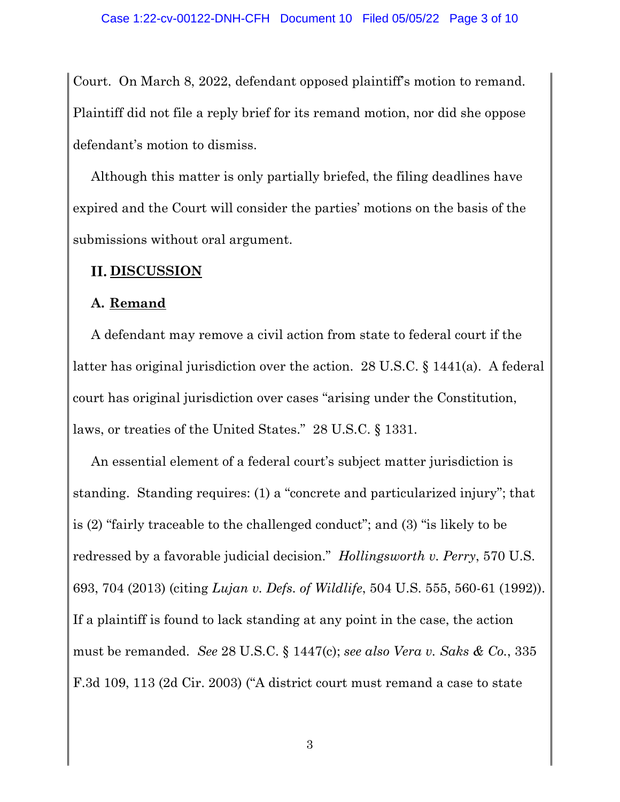Court. On March 8, 2022, defendant opposed plaintiff's motion to remand. Plaintiff did not file a reply brief for its remand motion, nor did she oppose defendant's motion to dismiss.

Although this matter is only partially briefed, the filing deadlines have expired and the Court will consider the parties' motions on the basis of the submissions without oral argument.

# **II. DISCUSSION**

### **A. Remand**

A defendant may remove a civil action from state to federal court if the latter has original jurisdiction over the action. 28 U.S.C. § 1441(a). A federal court has original jurisdiction over cases "arising under the Constitution, laws, or treaties of the United States." 28 U.S.C. § 1331.

An essential element of a federal court's subject matter jurisdiction is standing. Standing requires: (1) a "concrete and particularized injury"; that is (2) "fairly traceable to the challenged conduct"; and (3) "is likely to be redressed by a favorable judicial decision." *Hollingsworth v. Perry*, 570 U.S. 693, 704 (2013) (citing *Lujan v. Defs. of Wildlife*, 504 U.S. 555, 560-61 (1992)). If a plaintiff is found to lack standing at any point in the case, the action must be remanded. *See* 28 U.S.C. § 1447(c); *see also Vera v. Saks & Co.*, 335 F.3d 109, 113 (2d Cir. 2003) ("A district court must remand a case to state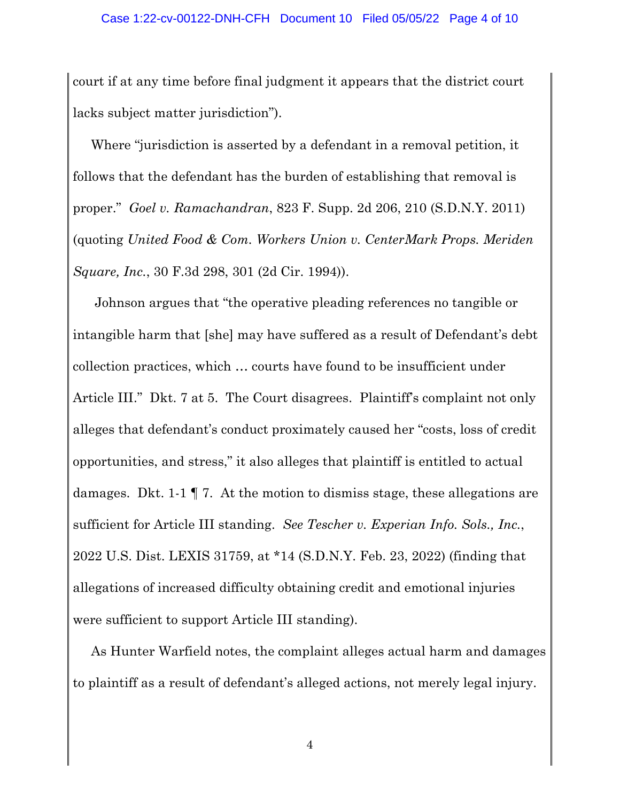court if at any time before final judgment it appears that the district court lacks subject matter jurisdiction").

Where "jurisdiction is asserted by a defendant in a removal petition, it follows that the defendant has the burden of establishing that removal is proper." *Goel v. Ramachandran*, 823 F. Supp. 2d 206, 210 (S.D.N.Y. 2011) (quoting *United Food & Com. Workers Union v. CenterMark Props. Meriden Square, Inc.*, 30 F.3d 298, 301 (2d Cir. 1994)).

Johnson argues that "the operative pleading references no tangible or intangible harm that [she] may have suffered as a result of Defendant's debt collection practices, which … courts have found to be insufficient under Article III." Dkt. 7 at 5. The Court disagrees. Plaintiff's complaint not only alleges that defendant's conduct proximately caused her "costs, loss of credit opportunities, and stress," it also alleges that plaintiff is entitled to actual damages. Dkt. 1-1 ¶ 7. At the motion to dismiss stage, these allegations are sufficient for Article III standing. *See Tescher v. Experian Info. Sols., Inc.*, 2022 U.S. Dist. LEXIS 31759, at \*14 (S.D.N.Y. Feb. 23, 2022) (finding that allegations of increased difficulty obtaining credit and emotional injuries were sufficient to support Article III standing).

As Hunter Warfield notes, the complaint alleges actual harm and damages to plaintiff as a result of defendant's alleged actions, not merely legal injury.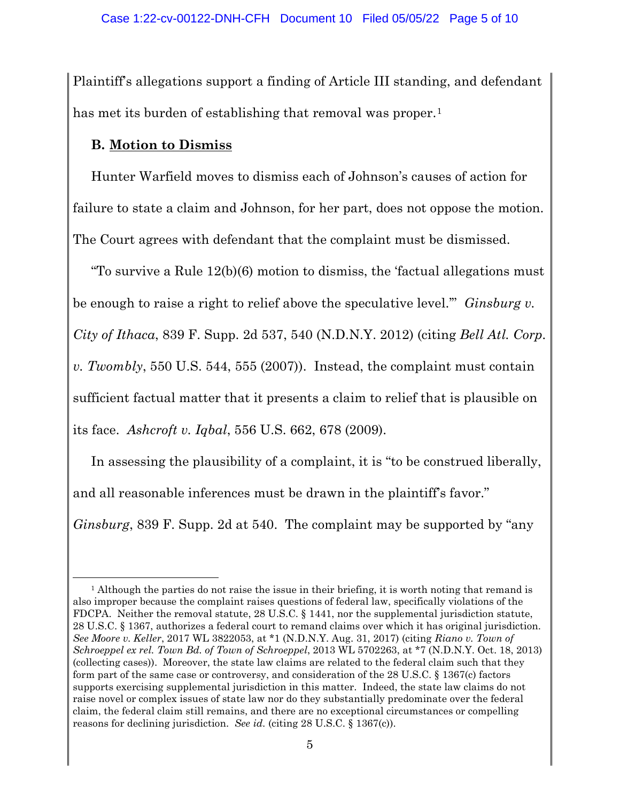Plaintiff's allegations support a finding of Article III standing, and defendant has met its burden of establishing that removal was proper.<sup>[1](#page-4-0)</sup>

### **B. Motion to Dismiss**

Hunter Warfield moves to dismiss each of Johnson's causes of action for failure to state a claim and Johnson, for her part, does not oppose the motion. The Court agrees with defendant that the complaint must be dismissed.

"To survive a Rule 12(b)(6) motion to dismiss, the 'factual allegations must be enough to raise a right to relief above the speculative level.'" *Ginsburg v. City of Ithaca*, 839 F. Supp. 2d 537, 540 (N.D.N.Y. 2012) (citing *Bell Atl. Corp. v. Twombly*, 550 U.S. 544, 555 (2007)). Instead, the complaint must contain sufficient factual matter that it presents a claim to relief that is plausible on its face. *Ashcroft v. Iqbal*, 556 U.S. 662, 678 (2009).

In assessing the plausibility of a complaint, it is "to be construed liberally, and all reasonable inferences must be drawn in the plaintiff's favor."

*Ginsburg*, 839 F. Supp. 2d at 540. The complaint may be supported by "any

<span id="page-4-0"></span><sup>&</sup>lt;sup>1</sup> Although the parties do not raise the issue in their briefing, it is worth noting that remand is also improper because the complaint raises questions of federal law, specifically violations of the FDCPA. Neither the removal statute, 28 U.S.C. § 1441, nor the supplemental jurisdiction statute, 28 U.S.C. § 1367, authorizes a federal court to remand claims over which it has original jurisdiction. *See Moore v. Keller*, 2017 WL 3822053, at \*1 (N.D.N.Y. Aug. 31, 2017) (citing *Riano v. Town of Schroeppel ex rel. Town Bd. of Town of Schroeppel*, 2013 WL 5702263, at \*7 (N.D.N.Y. Oct. 18, 2013) (collecting cases)). Moreover, the state law claims are related to the federal claim such that they form part of the same case or controversy, and consideration of the 28 U.S.C. § 1367(c) factors supports exercising supplemental jurisdiction in this matter. Indeed, the state law claims do not raise novel or complex issues of state law nor do they substantially predominate over the federal claim, the federal claim still remains, and there are no exceptional circumstances or compelling reasons for declining jurisdiction. *See id.* (citing 28 U.S.C. § 1367(c)).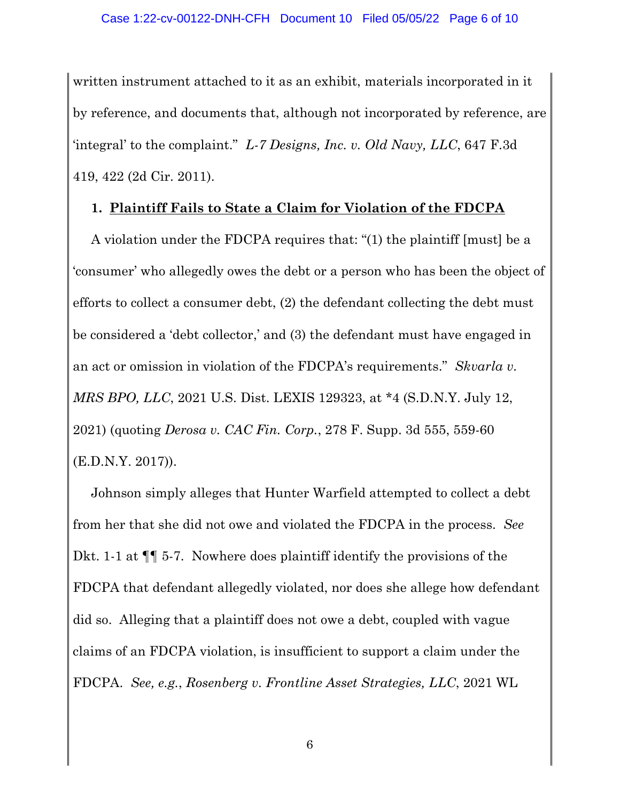written instrument attached to it as an exhibit, materials incorporated in it by reference, and documents that, although not incorporated by reference, are 'integral' to the complaint." *L-7 Designs, Inc. v. Old Navy, LLC*, 647 F.3d 419, 422 (2d Cir. 2011).

#### **1. Plaintiff Fails to State a Claim for Violation of the FDCPA**

A violation under the FDCPA requires that: "(1) the plaintiff [must] be a 'consumer' who allegedly owes the debt or a person who has been the object of efforts to collect a consumer debt, (2) the defendant collecting the debt must be considered a 'debt collector,' and (3) the defendant must have engaged in an act or omission in violation of the FDCPA's requirements." *Skvarla v. MRS BPO, LLC*, 2021 U.S. Dist. LEXIS 129323, at \*4 (S.D.N.Y. July 12, 2021) (quoting *Derosa v. CAC Fin. Corp.*, 278 F. Supp. 3d 555, 559-60 (E.D.N.Y. 2017)).

Johnson simply alleges that Hunter Warfield attempted to collect a debt from her that she did not owe and violated the FDCPA in the process. *See* Dkt. 1-1 at ¶¶ 5-7. Nowhere does plaintiff identify the provisions of the FDCPA that defendant allegedly violated, nor does she allege how defendant did so. Alleging that a plaintiff does not owe a debt, coupled with vague claims of an FDCPA violation, is insufficient to support a claim under the FDCPA. *See, e.g.*, *Rosenberg v. Frontline Asset Strategies, LLC*, 2021 WL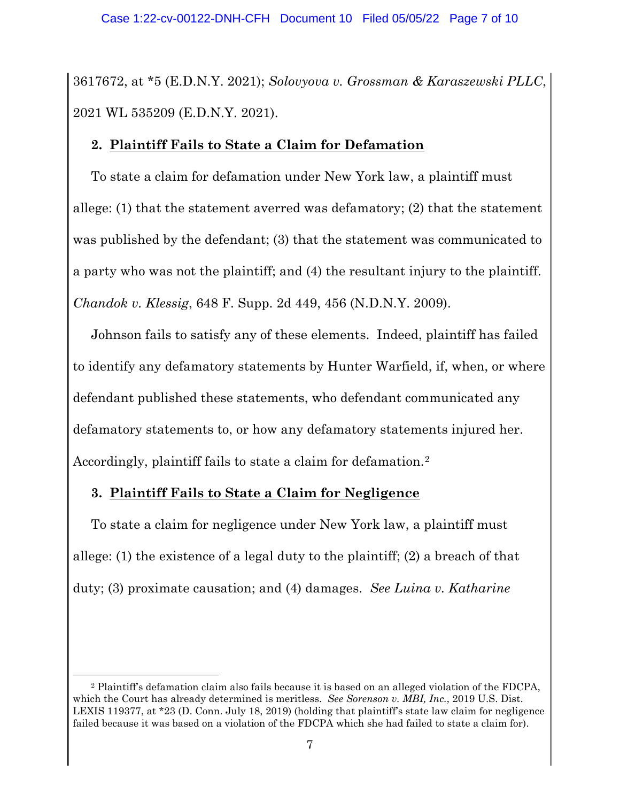3617672, at \*5 (E.D.N.Y. 2021); *Solovyova v. Grossman & Karaszewski PLLC*, 2021 WL 535209 (E.D.N.Y. 2021).

### **2. Plaintiff Fails to State a Claim for Defamation**

To state a claim for defamation under New York law, a plaintiff must allege: (1) that the statement averred was defamatory; (2) that the statement was published by the defendant; (3) that the statement was communicated to a party who was not the plaintiff; and (4) the resultant injury to the plaintiff. *Chandok v. Klessig*, 648 F. Supp. 2d 449, 456 (N.D.N.Y. 2009).

Johnson fails to satisfy any of these elements. Indeed, plaintiff has failed to identify any defamatory statements by Hunter Warfield, if, when, or where defendant published these statements, who defendant communicated any defamatory statements to, or how any defamatory statements injured her. Accordingly, plaintiff fails to state a claim for defamation.<sup>[2](#page-6-0)</sup>

# **3. Plaintiff Fails to State a Claim for Negligence**

To state a claim for negligence under New York law, a plaintiff must allege: (1) the existence of a legal duty to the plaintiff; (2) a breach of that duty; (3) proximate causation; and (4) damages. *See Luina v. Katharine* 

<span id="page-6-0"></span><sup>2</sup> Plaintiff's defamation claim also fails because it is based on an alleged violation of the FDCPA, which the Court has already determined is meritless. *See Sorenson v. MBI, Inc.*, 2019 U.S. Dist. LEXIS 119377, at \*23 (D. Conn. July 18, 2019) (holding that plaintiff's state law claim for negligence failed because it was based on a violation of the FDCPA which she had failed to state a claim for).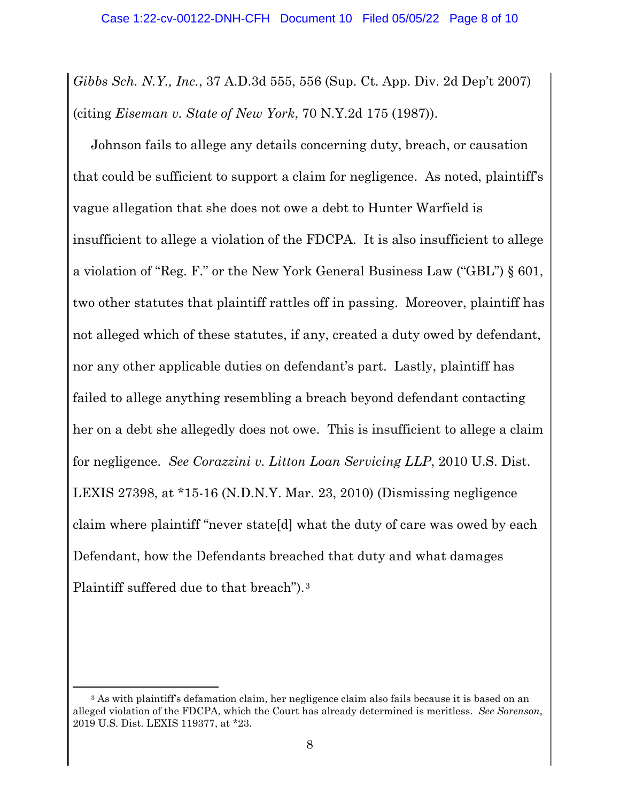*Gibbs Sch. N.Y., Inc.*, 37 A.D.3d 555, 556 (Sup. Ct. App. Div. 2d Dep't 2007) (citing *Eiseman v. State of New York*, 70 N.Y.2d 175 (1987)).

Johnson fails to allege any details concerning duty, breach, or causation that could be sufficient to support a claim for negligence. As noted, plaintiff's vague allegation that she does not owe a debt to Hunter Warfield is insufficient to allege a violation of the FDCPA. It is also insufficient to allege a violation of "Reg. F." or the New York General Business Law ("GBL") § 601, two other statutes that plaintiff rattles off in passing. Moreover, plaintiff has not alleged which of these statutes, if any, created a duty owed by defendant, nor any other applicable duties on defendant's part. Lastly, plaintiff has failed to allege anything resembling a breach beyond defendant contacting her on a debt she allegedly does not owe. This is insufficient to allege a claim for negligence. *See Corazzini v. Litton Loan Servicing LLP*, 2010 U.S. Dist. LEXIS 27398, at \*15-16 (N.D.N.Y. Mar. 23, 2010) (Dismissing negligence claim where plaintiff "never state[d] what the duty of care was owed by each Defendant, how the Defendants breached that duty and what damages Plaintiff suffered due to that breach").[3](#page-7-0)

<span id="page-7-0"></span><sup>&</sup>lt;sup>3</sup> As with plaintiff's defamation claim, her negligence claim also fails because it is based on an alleged violation of the FDCPA, which the Court has already determined is meritless. *See Sorenson*, 2019 U.S. Dist. LEXIS 119377, at \*23.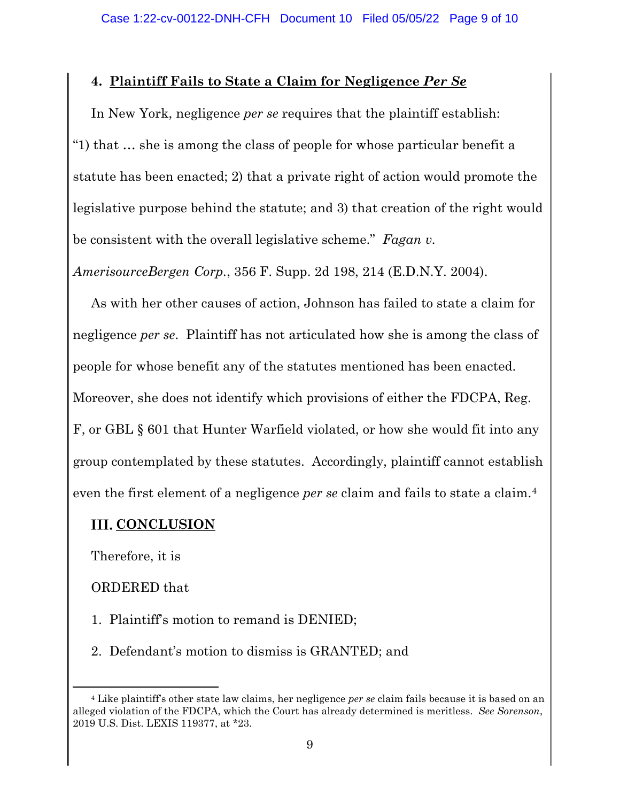### **4. Plaintiff Fails to State a Claim for Negligence** *Per Se*

In New York, negligence *per se* requires that the plaintiff establish: "1) that … she is among the class of people for whose particular benefit a statute has been enacted; 2) that a private right of action would promote the legislative purpose behind the statute; and 3) that creation of the right would be consistent with the overall legislative scheme." *Fagan v.*

*AmerisourceBergen Corp.*, 356 F. Supp. 2d 198, 214 (E.D.N.Y. 2004).

As with her other causes of action, Johnson has failed to state a claim for negligence *per se*. Plaintiff has not articulated how she is among the class of people for whose benefit any of the statutes mentioned has been enacted. Moreover, she does not identify which provisions of either the FDCPA, Reg. F, or GBL § 601 that Hunter Warfield violated, or how she would fit into any group contemplated by these statutes. Accordingly, plaintiff cannot establish even the first element of a negligence *per se* claim and fails to state a claim.[4](#page-8-0)

# **III. CONCLUSION**

Therefore, it is

#### ORDERED that

- 1. Plaintiff's motion to remand is DENIED;
- 2. Defendant's motion to dismiss is GRANTED; and

<span id="page-8-0"></span><sup>4</sup> Like plaintiff's other state law claims, her negligence *per se* claim fails because it is based on an alleged violation of the FDCPA, which the Court has already determined is meritless. *See Sorenson*, 2019 U.S. Dist. LEXIS 119377, at \*23.